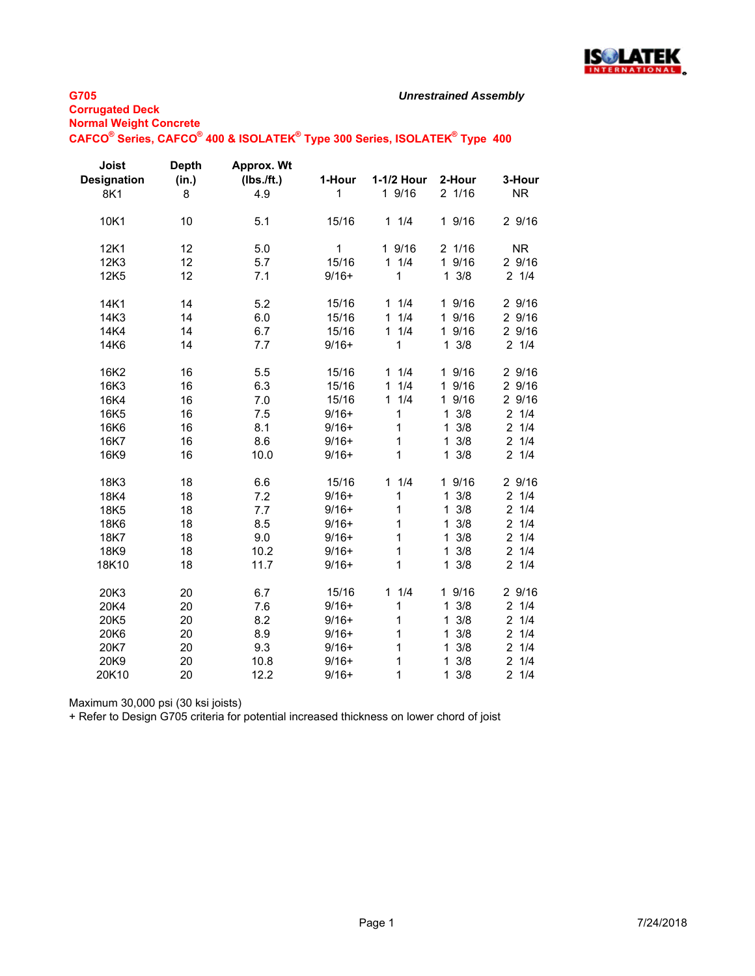

# **G705**

| <b>Corrugated Deck</b> |                               |  |  |  |
|------------------------|-------------------------------|--|--|--|
|                        | <b>Normal Weight Concrete</b> |  |  |  |
|                        |                               |  |  |  |

#### **CAFCO® Series, CAFCO® 400 & ISOLATEK® Type 300 Series, ISOLATEK® Type 400**

| Joist<br><b>Designation</b><br>8K1 | <b>Depth</b><br>(in.)<br>8 | <b>Approx. Wt</b><br>(Ibs./ft.)<br>4.9 | 1-Hour<br>1  | 1-1/2 Hour<br>1 9/16 | 2-Hour<br>21/16     | 3-Hour<br><b>NR</b> |
|------------------------------------|----------------------------|----------------------------------------|--------------|----------------------|---------------------|---------------------|
| 10K1                               | 10                         | 5.1                                    | 15/16        | 11/4                 | 1 9/16              | 2 9/16              |
| 12K1                               | 12                         | 5.0                                    | $\mathbf{1}$ | 1 9/16               | 21/16               | <b>NR</b>           |
| 12K3                               | 12                         | 5.7                                    | 15/16        | 11/4                 | 1 9/16              | 29/16               |
| 12K5                               | 12                         | 7.1                                    | $9/16+$      | 1                    | $1 \frac{3}{8}$     | $2 \t1/4$           |
| 14K1                               | 14                         | 5.2                                    | 15/16        | 11/4                 | 1 9/16              | 29/16               |
| 14K3                               | 14                         | 6.0                                    | 15/16        | 1/4<br>1             | 1 9/16              | 29/16               |
| 14K4                               | 14                         | 6.7                                    | 15/16        | 11/4                 | 1 9/16              | 2 9/16              |
| 14K6                               | 14                         | 7.7                                    | $9/16+$      | 1                    | $1 \frac{3}{8}$     | 21/4                |
| 16K2                               | 16                         | 5.5                                    | 15/16        | 11/4                 | 1 9/16              | 29/16               |
| 16K3                               | 16                         | 6.3                                    | 15/16        | 1/4<br>$\mathbf{1}$  | 1 9/16              | 2 9/16              |
| 16K4                               | 16                         | 7.0                                    | 15/16        | 11/4                 | 1 9/16              | 2 9/16              |
| 16K5                               | 16                         | 7.5                                    | $9/16+$      | 1                    | 3/8<br>$\mathbf{1}$ | $2 \t1/4$           |
| 16K6                               | 16                         | 8.1                                    | $9/16+$      | 1                    | 3/8<br>1            | 21/4                |
| 16K7                               | 16                         | 8.6                                    | $9/16+$      | 1                    | $\mathbf{1}$<br>3/8 | 21/4                |
| 16K9                               | 16                         | 10.0                                   | $9/16+$      | 1                    | $1 \frac{3}{8}$     | 21/4                |
| 18K3                               | 18                         | 6.6                                    | 15/16        | 1/4<br>$\mathbf{1}$  | 1 9/16              | 2 9/16              |
| 18K4                               | 18                         | 7.2                                    | $9/16+$      | 1                    | 3/8<br>$\mathbf{1}$ | $2 \t1/4$           |
| 18K5                               | 18                         | 7.7                                    | $9/16+$      | 1                    | $1 \frac{3}{8}$     | 21/4                |
| 18K6                               | 18                         | 8.5                                    | $9/16+$      | 1                    | 3/8<br>$\mathbf{1}$ | 21/4                |
| 18K7                               | 18                         | 9.0                                    | $9/16+$      | 1                    | 3/8<br>$\mathbf{1}$ | 21/4                |
| 18K9                               | 18                         | 10.2                                   | $9/16+$      | 1                    | $1 \frac{3}{8}$     | 21/4                |
| 18K10                              | 18                         | 11.7                                   | $9/16+$      | 1                    | $1 \frac{3}{8}$     | 21/4                |
| 20K3                               | 20                         | 6.7                                    | 15/16        | 11/4                 | 1 9/16              | 2 9/16              |
| 20K4                               | 20                         | 7.6                                    | $9/16+$      | 1                    | $1 \frac{3}{8}$     | $2 \t1/4$           |
| 20K5                               | 20                         | 8.2                                    | $9/16+$      | 1                    | $1 \frac{3}{8}$     | 21/4                |
| 20K6                               | 20                         | 8.9                                    | $9/16+$      | 1                    | 3/8<br>1            | 21/4                |
| 20K7                               | 20                         | 9.3                                    | $9/16+$      | 1                    | 3/8<br>$\mathbf{1}$ | 21/4                |
| 20K9                               | 20                         | 10.8                                   | $9/16+$      | 1                    | 3/8<br>$\mathbf{1}$ | 21/4                |
| 20K10                              | 20                         | 12.2                                   | $9/16+$      | 1                    | $1 \frac{3}{8}$     | 21/4                |

Maximum 30,000 psi (30 ksi joists)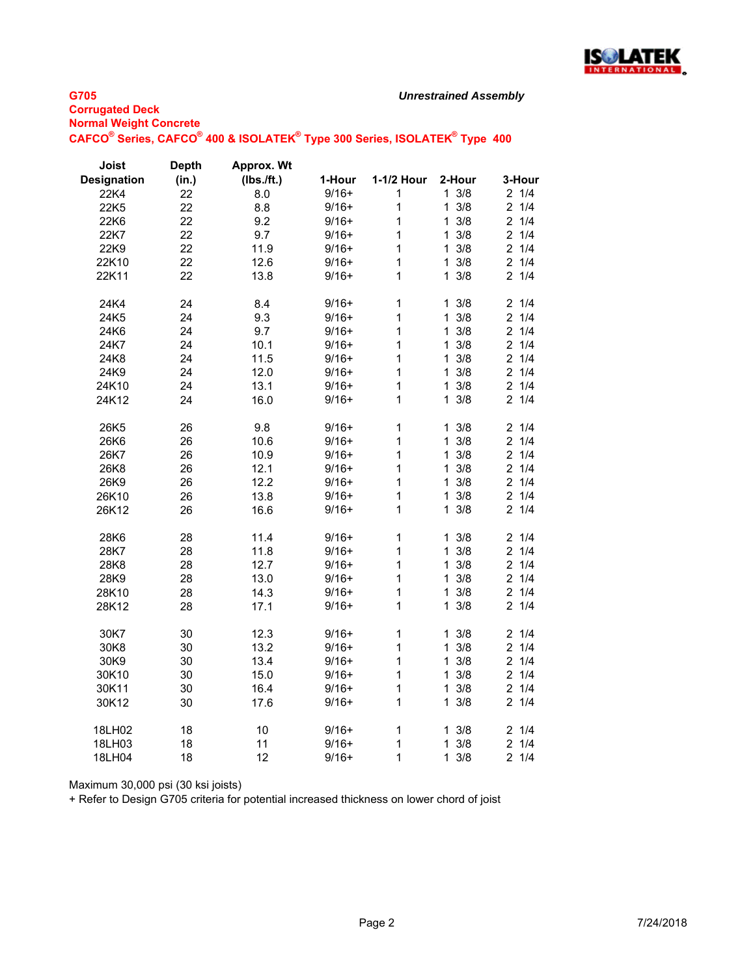

## **G705 Corrugated Deck Normal Weight Concrete CAFCO® Series, CAFCO® 400 & ISOLATEK® Type 300 Series, ISOLATEK® Type 400**

| Joist              | <b>Depth</b> | <b>Approx. Wt</b> |         |              |                     |                       |
|--------------------|--------------|-------------------|---------|--------------|---------------------|-----------------------|
| <b>Designation</b> | (in.)        | (Ibs./ft.)        | 1-Hour  | 1-1/2 Hour   | 2-Hour              | 3-Hour                |
| 22K4               | 22           | 8.0               | $9/16+$ | 1            | $1 \t3/8$           | 21/4                  |
| 22K5               | 22           | 8.8               | $9/16+$ | $\mathbf{1}$ | 3/8<br>$\mathbf{1}$ | 21/4                  |
| 22K6               | 22           | 9.2               | $9/16+$ | $\mathbf{1}$ | $1 \frac{3}{8}$     | 21/4                  |
| 22K7               | 22           | 9.7               | $9/16+$ | $\mathbf{1}$ | $1 \frac{3}{8}$     | $2 \t1/4$             |
| 22K9               | 22           | 11.9              | $9/16+$ | $\mathbf{1}$ | 3/8<br>$\mathbf{1}$ | $2 \t1/4$             |
| 22K10              | 22           | 12.6              | $9/16+$ | $\mathbf{1}$ | 3/8<br>$\mathbf{1}$ | $2 \t1/4$             |
| 22K11              | 22           | 13.8              | $9/16+$ | $\mathbf{1}$ | 3/8<br>$\mathbf{1}$ | 21/4                  |
|                    |              |                   |         |              |                     | 21/4                  |
| 24K4               | 24           | 8.4               | $9/16+$ | $\mathbf 1$  | 3/8<br>1            |                       |
| 24K5               | 24           | 9.3               | $9/16+$ | $\mathbf 1$  | 3/8<br>$\mathbf{1}$ | 21/4                  |
| 24K6               | 24           | 9.7               | $9/16+$ | $\mathbf{1}$ | 3/8<br>$\mathbf{1}$ | $2 \t1/4$             |
| 24K7               | 24           | 10.1              | $9/16+$ | 1            | 3/8<br>$\mathbf{1}$ | $2 \t1/4$             |
| 24K8               | 24           | 11.5              | $9/16+$ | $\mathbf{1}$ | 3/8<br>$\mathbf{1}$ | 21/4                  |
| 24K9               | 24           | 12.0              | $9/16+$ | $\mathbf{1}$ | 3/8<br>1.           | 21/4                  |
| 24K10              | 24           | 13.1              | $9/16+$ | $\mathbf{1}$ | 3/8<br>1            | 21/4                  |
| 24K12              | 24           | 16.0              | $9/16+$ | $\mathbf{1}$ | 3/8<br>1            | 21/4                  |
| 26K5               | 26           | 9.8               | $9/16+$ | $\mathbf 1$  | 3/8<br>1            | 21/4                  |
| 26K6               | 26           | 10.6              | $9/16+$ | $\mathbf{1}$ | 3/8<br>$\mathbf{1}$ | 21/4                  |
| 26K7               | 26           | 10.9              | $9/16+$ | $\mathbf{1}$ | 3/8<br>$\mathbf{1}$ | 21/4                  |
| 26K8               | 26           | 12.1              | $9/16+$ | $\mathbf{1}$ | 3/8<br>1            | 21/4                  |
| 26K9               | 26           | 12.2              | $9/16+$ | $\mathbf{1}$ | 3/8<br>1            | $\overline{2}$<br>1/4 |
| 26K10              | 26           | 13.8              | $9/16+$ | $\mathbf{1}$ | 3/8<br>1            | $2 \t1/4$             |
| 26K12              | 26           | 16.6              | $9/16+$ | $\mathbf{1}$ | 3/8<br>1.           | 21/4                  |
|                    |              |                   |         |              |                     |                       |
| 28K6               | 28           | 11.4              | $9/16+$ | $\mathbf{1}$ | 3/8<br>$\mathbf{1}$ | 21/4                  |
| 28K7               | 28           | 11.8              | $9/16+$ | $\mathbf{1}$ | 3/8<br>$\mathbf{1}$ | 21/4                  |
| 28K8               | 28           | 12.7              | $9/16+$ | $\mathbf{1}$ | 3/8<br>$\mathbf 1$  | $2 \t1/4$             |
| 28K9               | 28           | 13.0              | $9/16+$ | $\mathbf{1}$ | 3/8<br>$\mathbf{1}$ | 1/4<br>$\overline{2}$ |
| 28K10              | 28           | 14.3              | $9/16+$ | 1            | 3/8<br>1            | $2 \t1/4$             |
| 28K12              | 28           | 17.1              | $9/16+$ | $\mathbf{1}$ | 3/8<br>$\mathbf{1}$ | 21/4                  |
| 30K7               | 30           | 12.3              | $9/16+$ | $\mathbf 1$  | 3/8<br>1            | 21/4                  |
| 30K8               | 30           | 13.2              | $9/16+$ | $\mathbf{1}$ | 3/8<br>$\mathbf{1}$ | $2 \t1/4$             |
| 30K9               | 30           | 13.4              | $9/16+$ | $\mathbf{1}$ | 3/8<br>$\mathbf{1}$ | $2 \t1/4$             |
| 30K10              | 30           | 15.0              | $9/16+$ | $\mathbf{1}$ | 3/8<br>$\mathbf 1$  | 21/4                  |
| 30K11              | 30           | 16.4              | $9/16+$ | 1            | 3/8<br>1            | $2 \t1/4$             |
| 30K12              | 30           | 17.6              | $9/16+$ | $\mathbf{1}$ | 3/8<br>1            | 21/4                  |
|                    |              |                   |         |              |                     |                       |
| 18LH02             | 18           | 10                | $9/16+$ | $\mathbf 1$  | 3/8<br>1            | 21/4                  |
| 18LH03             | 18           | 11                | $9/16+$ | $\mathbf 1$  | 3/8<br>1            | $\overline{2}$<br>1/4 |
| 18LH04             | 18           | 12                | $9/16+$ | 1            | 3/8<br>1            | 21/4                  |

Maximum 30,000 psi (30 ksi joists)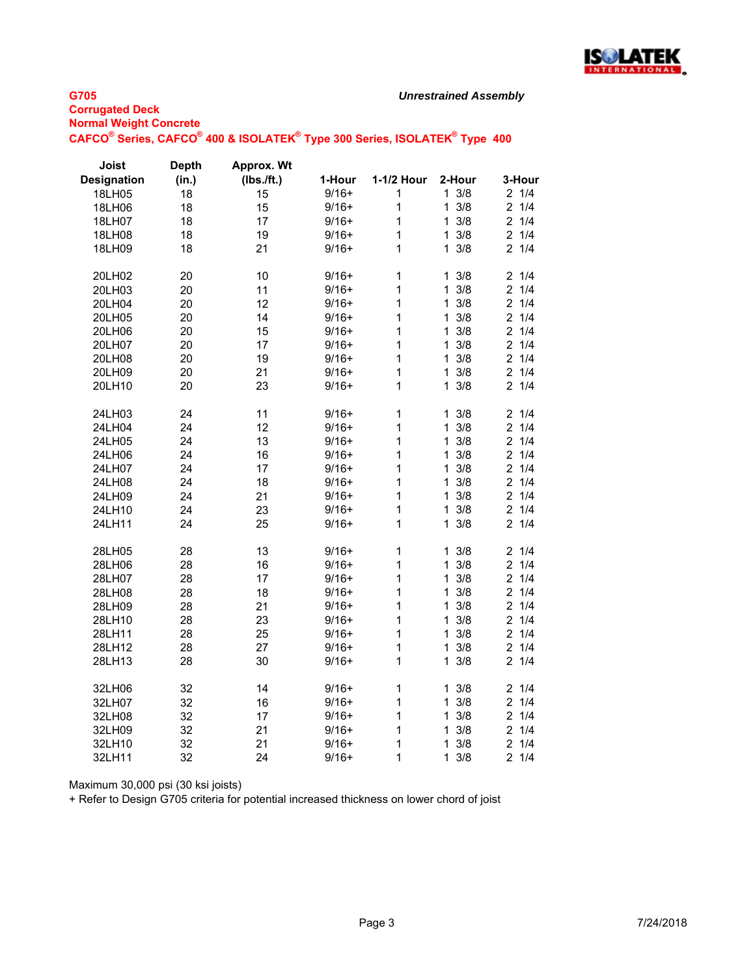

## **G705 Corrugated Deck Normal Weight Concrete CAFCO® Series, CAFCO® 400 & ISOLATEK® Type 300 Series, ISOLATEK® Type 400**

| Joist              | <b>Depth</b> | <b>Approx. Wt</b> |         |                |                     |                       |
|--------------------|--------------|-------------------|---------|----------------|---------------------|-----------------------|
| <b>Designation</b> | (in.)        | (Ibs./ft.)        | 1-Hour  | 1-1/2 Hour     | 2-Hour              | 3-Hour                |
| 18LH05             | 18           | 15                | $9/16+$ | 1              | $1 \frac{3}{8}$     | 21/4                  |
| 18LH06             | 18           | 15                | $9/16+$ | 1              | $\mathbf{1}$<br>3/8 | $\overline{2}$<br>1/4 |
| 18LH07             | 18           | 17                | $9/16+$ | 1              | 3/8<br>1            | $\overline{2}$<br>1/4 |
| 18LH08             | 18           | 19                | $9/16+$ | $\mathbf{1}$   | 3/8<br>$\mathbf{1}$ | $\overline{2}$<br>1/4 |
| 18LH09             | 18           | 21                | $9/16+$ | $\overline{1}$ | 3/8<br>1            | 21/4                  |
|                    |              |                   | $9/16+$ | $\mathbf{1}$   | 3/8                 | 21/4                  |
| 20LH02             | 20<br>20     | 10<br>11          |         | $\mathbf{1}$   | 1<br>3/8            | $\overline{2}$<br>1/4 |
| 20LH03             |              |                   | $9/16+$ |                | 1<br>3/8            |                       |
| 20LH04             | 20           | 12                | $9/16+$ | 1              | 1                   | $\overline{2}$<br>1/4 |
| 20LH05             | 20           | 14                | $9/16+$ | $\mathbf{1}$   | 3/8<br>1            | 21/4                  |
| 20LH06             | 20           | 15                | $9/16+$ | 1              | 3/8<br>1            | 1/4<br>$\overline{2}$ |
| 20LH07             | 20           | 17                | $9/16+$ | 1              | $\mathbf{1}$<br>3/8 | $\overline{a}$<br>1/4 |
| 20LH08             | 20           | 19                | $9/16+$ | $\mathbf{1}$   | 3/8<br>1            | 1/4<br>$\overline{2}$ |
| 20LH09             | 20           | 21                | $9/16+$ | $\mathbf{1}$   | 3/8<br>1            | 1/4<br>$\overline{c}$ |
| 20LH10             | 20           | 23                | $9/16+$ | $\overline{1}$ | 3/8<br>1            | $\overline{2}$<br>1/4 |
| 24LH03             | 24           | 11                | $9/16+$ | 1              | 3/8<br>1            | 1/4<br>2              |
| 24LH04             | 24           | 12                | $9/16+$ | 1              | $\mathbf{1}$<br>3/8 | 1/4<br>$\overline{2}$ |
| 24LH05             | 24           | 13                | $9/16+$ | $\mathbf{1}$   | 3/8<br>1            | $\overline{a}$<br>1/4 |
| 24LH06             | 24           | 16                | $9/16+$ | $\mathbf{1}$   | 3/8<br>1            | $\overline{a}$<br>1/4 |
| 24LH07             | 24           | 17                | $9/16+$ | $\mathbf{1}$   | 3/8<br>1            | 1/4<br>$\overline{2}$ |
| 24LH08             | 24           | 18                | $9/16+$ | 1              | 3/8<br>$\mathbf{1}$ | $\overline{2}$<br>1/4 |
| 24LH09             | 24           | 21                | $9/16+$ | 1              | 3/8<br>1            | $\overline{2}$<br>1/4 |
| 24LH10             | 24           | 23                | $9/16+$ | $\mathbf{1}$   | 3/8<br>1            | 1/4<br>$\overline{a}$ |
| 24LH11             | 24           | 25                | $9/16+$ | $\mathbf{1}$   | 3/8<br>1            | $\overline{2}$<br>1/4 |
|                    |              |                   |         |                |                     |                       |
| 28LH05             | 28           | 13                | $9/16+$ | 1              | 3/8<br>1            | 21/4                  |
| 28LH06             | 28           | 16                | $9/16+$ | $\mathbf 1$    | 3/8<br>1            | $\overline{2}$<br>1/4 |
| 28LH07             | 28           | 17                | $9/16+$ | $\mathbf{1}$   | $\mathbf{1}$<br>3/8 | $\overline{2}$<br>1/4 |
| 28LH08             | 28           | 18                | $9/16+$ | $\mathbf{1}$   | 3/8<br>1            | $\overline{2}$<br>1/4 |
| 28LH09             | 28           | 21                | $9/16+$ | 1              | 3/8<br>1            | 21/4                  |
| 28LH10             | 28           | 23                | $9/16+$ | 1              | 3/8<br>1            | $\overline{2}$<br>1/4 |
| 28LH11             | 28           | 25                | $9/16+$ | 1              | 3/8<br>1            | $\overline{2}$<br>1/4 |
| 28LH12             | 28           | 27                | $9/16+$ | $\mathbf{1}$   | 3/8<br>1            | $\overline{a}$<br>1/4 |
| 28LH13             | 28           | 30                | $9/16+$ | $\mathbf{1}$   | 1<br>3/8            | 1/4<br>$\overline{2}$ |
| 32LH06             | 32           | 14                | $9/16+$ | $\mathbf{1}$   | 3/8<br>$\mathbf 1$  | 21/4                  |
| 32LH07             | 32           | 16                | $9/16+$ | $\mathbf{1}$   | 3/8<br>$\mathbf{1}$ | $\overline{2}$<br>1/4 |
| 32LH08             | 32           | 17                | $9/16+$ | $\mathbf{1}$   | 3/8<br>1            | $\overline{2}$<br>1/4 |
| 32LH09             | 32           | 21                | $9/16+$ | $\mathbf{1}$   | 3/8<br>1            | $\overline{c}$<br>1/4 |
| 32LH10             | 32           | 21                | $9/16+$ | $\mathbf{1}$   | 3/8<br>1            | $\overline{c}$<br>1/4 |
| 32LH11             | 32           | 24                | $9/16+$ | 1              | 3/8<br>1            | $\overline{2}$<br>1/4 |

Maximum 30,000 psi (30 ksi joists)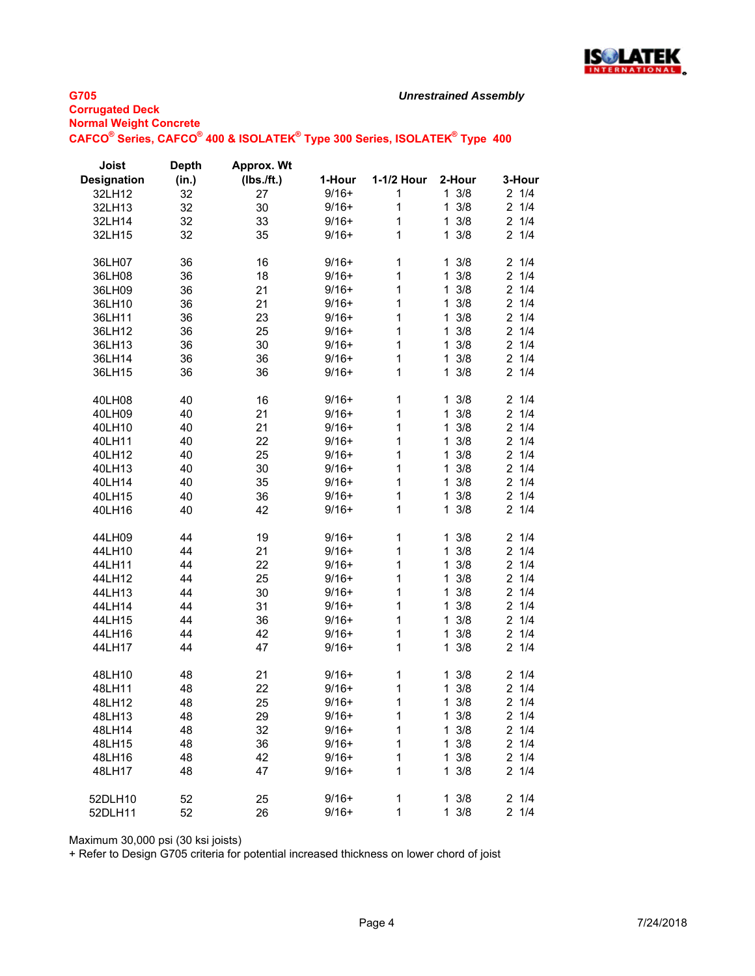

## **G705 Corrugated Deck Normal Weight Concrete CAFCO® Series, CAFCO® 400 & ISOLATEK® Type 300 Series, ISOLATEK® Type 400**

| <b>Joist</b>       | <b>Depth</b> | Approx. Wt |         |            |                     |                       |
|--------------------|--------------|------------|---------|------------|---------------------|-----------------------|
| <b>Designation</b> | (in.)        | (Ibs./ft.) | 1-Hour  | 1-1/2 Hour | 2-Hour              | 3-Hour                |
| 32LH12             | 32           | 27         | $9/16+$ | 1          | $1 \frac{3}{8}$     | 21/4                  |
| 32LH13             | 32           | 30         | $9/16+$ | 1          | 3/8<br>$\mathbf{1}$ | 21/4                  |
| 32LH14             | 32           | 33         | $9/16+$ | 1          | 3/8<br>$\mathbf{1}$ | 21/4                  |
| 32LH15             | 32           | 35         | $9/16+$ | 1          | 3/8<br>1            | $\overline{2}$<br>1/4 |
|                    |              |            |         |            |                     |                       |
| 36LH07             | 36           | 16         | $9/16+$ | 1          | 3/8<br>1            | 1/4<br>$\overline{2}$ |
| 36LH08             | 36           | 18         | $9/16+$ | 1          | 3/8<br>$\mathbf{1}$ | 21/4                  |
| 36LH09             | 36           | 21         | $9/16+$ | 1          | $1 \frac{3}{8}$     | 21/4                  |
| 36LH10             | 36           | 21         | $9/16+$ | 1          | 3/8<br>$\mathbf{1}$ | 21/4                  |
| 36LH11             | 36           | 23         | $9/16+$ | 1          | 3/8<br>$\mathbf{1}$ | 21/4                  |
| 36LH12             | 36           | 25         | $9/16+$ | 1          | 3/8<br>$\mathbf{1}$ | 21/4                  |
| 36LH13             | 36           | 30         | $9/16+$ | 1          | 3/8<br>$\mathbf{1}$ | 21/4                  |
| 36LH14             | 36           | 36         | $9/16+$ | 1          | 3/8<br>$\mathbf{1}$ | 21/4                  |
| 36LH15             | 36           | 36         | $9/16+$ | 1          | 3/8<br>1            | 21/4                  |
|                    |              |            |         |            |                     |                       |
| 40LH08             | 40           | 16         | $9/16+$ | 1          | $1 \frac{3}{8}$     | 21/4                  |
| 40LH09             | 40           | 21         | $9/16+$ | 1          | 3/8<br>$\mathbf{1}$ | $\overline{c}$<br>1/4 |
| 40LH10             | 40           | 21         | $9/16+$ | 1          | 3/8<br>1            | 1/4<br>$\overline{c}$ |
| 40LH11             | 40           | 22         | $9/16+$ | 1          | 3/8<br>1            | $\overline{c}$<br>1/4 |
| 40LH12             | 40           | 25         | $9/16+$ | 1          | 3/8<br>$\mathbf{1}$ | 21/4                  |
| 40LH13             | 40           | 30         | $9/16+$ | 1          | 3/8<br>$\mathbf{1}$ | 21/4                  |
| 40LH14             | 40           | 35         | $9/16+$ | 1          | 3/8<br>$\mathbf{1}$ | 21/4                  |
| 40LH15             | 40           | 36         | $9/16+$ | 1          | 3/8<br>$\mathbf{1}$ | 21/4                  |
| 40LH16             | 40           | 42         | $9/16+$ | 1          | 3/8<br>$\mathbf{1}$ | 21/4                  |
|                    |              |            |         |            |                     |                       |
| 44LH09             | 44           | 19         | $9/16+$ | 1          | 3/8<br>$\mathbf{1}$ | 1/4<br>$\overline{2}$ |
| 44LH10             | 44           | 21         | $9/16+$ | 1          | 3/8<br>$\mathbf{1}$ | 21/4                  |
| 44LH11             | 44           | 22         | $9/16+$ | 1          | 3/8<br>$\mathbf{1}$ | 21/4                  |
| 44LH12             | 44           | 25         | $9/16+$ | 1          | 3/8<br>$\mathbf{1}$ | 21/4                  |
| 44LH13             | 44           | 30         | $9/16+$ | 1          | 3/8<br>$\mathbf{1}$ | 21/4                  |
| 44LH14             | 44           | 31         | $9/16+$ | 1          | 3/8<br>$\mathbf{1}$ | $\overline{2}$<br>1/4 |
| 44LH15             | 44           | 36         | $9/16+$ | 1          | 3/8<br>$\mathbf{1}$ | 21/4                  |
| 44LH16             | 44           | 42         | $9/16+$ | 1          | 3/8<br>$\mathbf{1}$ | $\overline{c}$<br>1/4 |
| 44LH17             | 44           | 47         | $9/16+$ | 1          | 3/8<br>1            | $\overline{c}$<br>1/4 |
|                    |              |            |         |            |                     |                       |
| 48LH10             | 48           | 21         | $9/16+$ | 1          | $1 \frac{3}{8}$     | 21/4                  |
| 48LH11             | 48           | 22         | $9/16+$ | 1          | $1 \frac{3}{8}$     | 21/4                  |
| 48LH12             | 48           | 25         | $9/16+$ | 1          | $1 \frac{3}{8}$     | 21/4                  |
| 48LH13             | 48           | 29         | $9/16+$ | 1          | $1 \frac{3}{8}$     | $2 \t1/4$             |
| 48LH14             | 48           | 32         | $9/16+$ | 1          | $1 \frac{3}{8}$     | 21/4                  |
| 48LH15             | 48           | 36         | $9/16+$ | 1          | $1 \frac{3}{8}$     | 21/4                  |
| 48LH16             | 48           | 42         | $9/16+$ | 1          | $1 \frac{3}{8}$     | 21/4                  |
| 48LH17             | 48           | 47         | $9/16+$ | 1          | $1 \frac{3}{8}$     | 21/4                  |
|                    |              |            |         |            |                     |                       |
| 52DLH10            | 52           | 25         | $9/16+$ | 1          | $1 \frac{3}{8}$     | $2 \t1/4$             |
| 52DLH11            | 52           | 26         | $9/16+$ | 1          | $1 \frac{3}{8}$     | 21/4                  |

Maximum 30,000 psi (30 ksi joists)